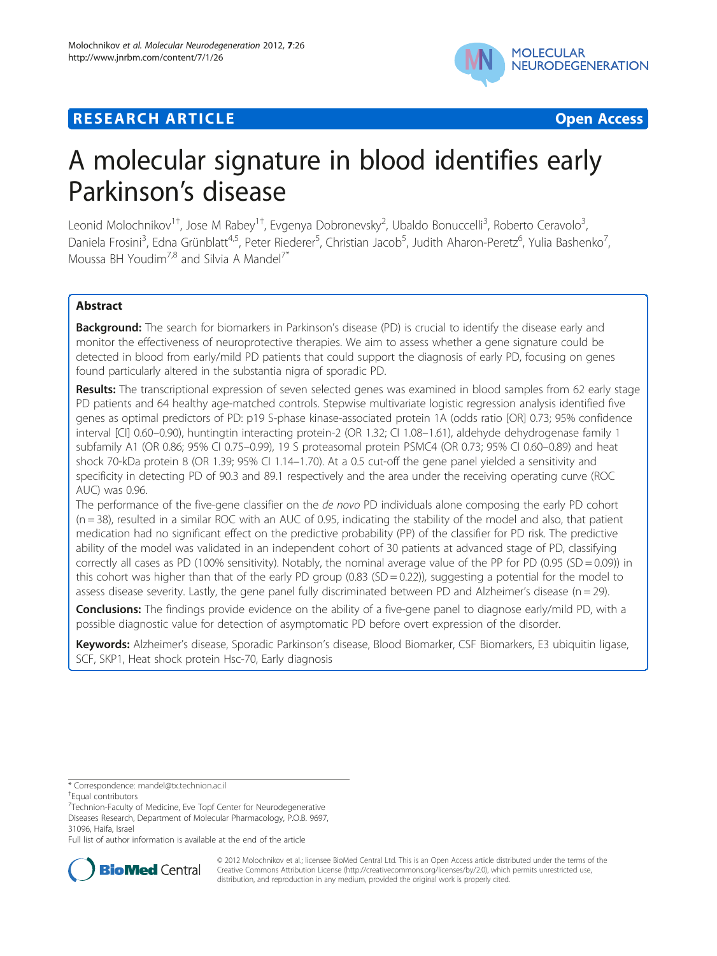

# **RESEARCH ARTICLE Example 2018 12:00 Department of the Contract Open Access**



# A molecular signature in blood identifies early Parkinson's disease

Leonid Molochnikov<sup>1†</sup>, Jose M Rabey<sup>1†</sup>, Evgenya Dobronevsky<sup>2</sup>, Ubaldo Bonuccelli<sup>3</sup>, Roberto Ceravolo<sup>3</sup> , Daniela Frosini<sup>3</sup>, Edna Grünblatt<sup>4,5</sup>, Peter Riederer<sup>5</sup>, Christian Jacob<sup>5</sup>, Judith Aharon-Peretz<sup>6</sup>, Yulia Bashenko<sup>7</sup> , Moussa BH Youdim<sup>7,8</sup> and Silvia A Mandel<sup>7\*</sup>

# Abstract

**Background:** The search for biomarkers in Parkinson's disease (PD) is crucial to identify the disease early and monitor the effectiveness of neuroprotective therapies. We aim to assess whether a gene signature could be detected in blood from early/mild PD patients that could support the diagnosis of early PD, focusing on genes found particularly altered in the substantia nigra of sporadic PD.

Results: The transcriptional expression of seven selected genes was examined in blood samples from 62 early stage PD patients and 64 healthy age-matched controls. Stepwise multivariate logistic regression analysis identified five genes as optimal predictors of PD: p19 S-phase kinase-associated protein 1A (odds ratio [OR] 0.73; 95% confidence interval [CI] 0.60–0.90), huntingtin interacting protein-2 (OR 1.32; CI 1.08–1.61), aldehyde dehydrogenase family 1 subfamily A1 (OR 0.86; 95% CI 0.75–0.99), 19 S proteasomal protein PSMC4 (OR 0.73; 95% CI 0.60–0.89) and heat shock 70-kDa protein 8 (OR 1.39; 95% CI 1.14–1.70). At a 0.5 cut-off the gene panel yielded a sensitivity and specificity in detecting PD of 90.3 and 89.1 respectively and the area under the receiving operating curve (ROC AUC) was 0.96.

The performance of the five-gene classifier on the de novo PD individuals alone composing the early PD cohort  $(n = 38)$ , resulted in a similar ROC with an AUC of 0.95, indicating the stability of the model and also, that patient medication had no significant effect on the predictive probability (PP) of the classifier for PD risk. The predictive ability of the model was validated in an independent cohort of 30 patients at advanced stage of PD, classifying correctly all cases as PD (100% sensitivity). Notably, the nominal average value of the PP for PD (0.95 (SD = 0.09)) in this cohort was higher than that of the early PD group  $(0.83 \text{ (SD = 0.22)})$ , suggesting a potential for the model to assess disease severity. Lastly, the gene panel fully discriminated between PD and Alzheimer's disease ( $n = 29$ ).

Conclusions: The findings provide evidence on the ability of a five-gene panel to diagnose early/mild PD, with a possible diagnostic value for detection of asymptomatic PD before overt expression of the disorder.

Keywords: Alzheimer's disease, Sporadic Parkinson's disease, Blood Biomarker, CSF Biomarkers, E3 ubiquitin ligase, SCF, SKP1, Heat shock protein Hsc-70, Early diagnosis

Full list of author information is available at the end of the article



© 2012 Molochnikov et al.; licensee BioMed Central Ltd. This is an Open Access article distributed under the terms of the Creative Commons Attribution License (http://creativecommons.org/licenses/by/2.0), which permits unrestricted use, distribution, and reproduction in any medium, provided the original work is properly cited.

<sup>\*</sup> Correspondence: [mandel@tx.technion.ac.il](mailto:mandel@tx.technion.ac.il) †

Equal contributors

<sup>&</sup>lt;sup>7</sup>Technion-Faculty of Medicine, Eve Topf Center for Neurodegenerative Diseases Research, Department of Molecular Pharmacology, P.O.B. 9697,

<sup>31096,</sup> Haifa, Israel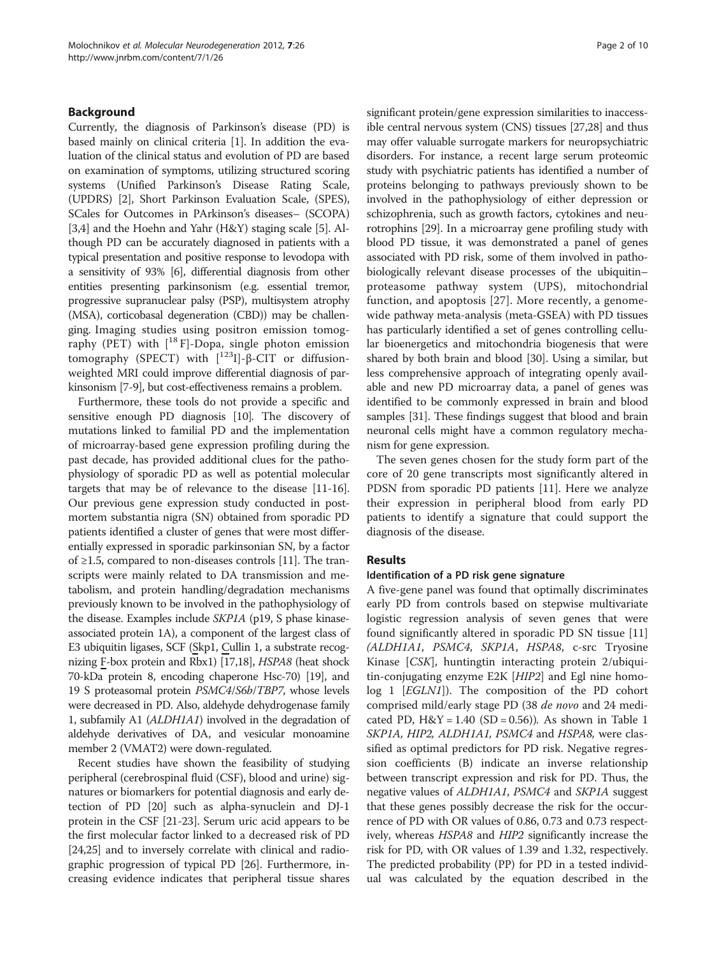#### Background

Currently, the diagnosis of Parkinson's disease (PD) is based mainly on clinical criteria [[1\]](#page-8-0). In addition the evaluation of the clinical status and evolution of PD are based on examination of symptoms, utilizing structured scoring systems (Unified Parkinson's Disease Rating Scale, (UPDRS) [\[2](#page-8-0)], Short Parkinson Evaluation Scale, (SPES), SCales for Outcomes in PArkinson's diseases– (SCOPA) [[3,4](#page-8-0)] and the Hoehn and Yahr (H&Y) staging scale [[5\]](#page-8-0). Although PD can be accurately diagnosed in patients with a typical presentation and positive response to levodopa with a sensitivity of 93% [[6](#page-8-0)], differential diagnosis from other entities presenting parkinsonism (e.g. essential tremor, progressive supranuclear palsy (PSP), multisystem atrophy (MSA), corticobasal degeneration (CBD)) may be challenging. Imaging studies using positron emission tomography (PET) with  $[$ <sup>18</sup> F]-Dopa, single photon emission tomography (SPECT) with [<sup>123</sup>Ι]-β-CIT or diffusionweighted MRI could improve differential diagnosis of parkinsonism [\[7-9](#page-8-0)], but cost-effectiveness remains a problem.

Furthermore, these tools do not provide a specific and sensitive enough PD diagnosis [[10](#page-8-0)]. The discovery of mutations linked to familial PD and the implementation of microarray-based gene expression profiling during the past decade, has provided additional clues for the pathophysiology of sporadic PD as well as potential molecular targets that may be of relevance to the disease [[11](#page-9-0)-[16](#page-9-0)]. Our previous gene expression study conducted in postmortem substantia nigra (SN) obtained from sporadic PD patients identified a cluster of genes that were most differentially expressed in sporadic parkinsonian SN, by a factor of ≥1.5, compared to non-diseases controls [\[11](#page-9-0)]. The transcripts were mainly related to DA transmission and metabolism, and protein handling/degradation mechanisms previously known to be involved in the pathophysiology of the disease. Examples include SKP1A (p19, S phase kinaseassociated protein 1A), a component of the largest class of E3 ubiquitin ligases, SCF (Skp1, Cullin 1, a substrate recognizing F-box protein and Rbx1) [\[17,18\]](#page-9-0), HSPA8 (heat shock 70-kDa protein 8, encoding chaperone Hsc-70) [\[19\]](#page-9-0), and 19 S proteasomal protein PSMC4/S6b/TBP7, whose levels were decreased in PD. Also, aldehyde dehydrogenase family 1, subfamily A1 (ALDH1A1) involved in the degradation of aldehyde derivatives of DA, and vesicular monoamine member 2 (VMAT2) were down-regulated.

Recent studies have shown the feasibility of studying peripheral (cerebrospinal fluid (CSF), blood and urine) signatures or biomarkers for potential diagnosis and early detection of PD [[20](#page-9-0)] such as alpha-synuclein and DJ-1 protein in the CSF [\[21-23\]](#page-9-0). Serum uric acid appears to be the first molecular factor linked to a decreased risk of PD [[24,25](#page-9-0)] and to inversely correlate with clinical and radiographic progression of typical PD [\[26\]](#page-9-0). Furthermore, increasing evidence indicates that peripheral tissue shares

significant protein/gene expression similarities to inaccessible central nervous system (CNS) tissues [[27,28\]](#page-9-0) and thus may offer valuable surrogate markers for neuropsychiatric disorders. For instance, a recent large serum proteomic study with psychiatric patients has identified a number of proteins belonging to pathways previously shown to be involved in the pathophysiology of either depression or schizophrenia, such as growth factors, cytokines and neurotrophins [\[29\]](#page-9-0). In a microarray gene profiling study with blood PD tissue, it was demonstrated a panel of genes associated with PD risk, some of them involved in pathobiologically relevant disease processes of the ubiquitin– proteasome pathway system (UPS), mitochondrial function, and apoptosis [\[27](#page-9-0)]. More recently, a genomewide pathway meta-analysis (meta-GSEA) with PD tissues has particularly identified a set of genes controlling cellular bioenergetics and mitochondria biogenesis that were shared by both brain and blood [[30](#page-9-0)]. Using a similar, but less comprehensive approach of integrating openly available and new PD microarray data, a panel of genes was identified to be commonly expressed in brain and blood samples [[31](#page-9-0)]. These findings suggest that blood and brain neuronal cells might have a common regulatory mechanism for gene expression.

The seven genes chosen for the study form part of the core of 20 gene transcripts most significantly altered in PDSN from sporadic PD patients [[11\]](#page-9-0). Here we analyze their expression in peripheral blood from early PD patients to identify a signature that could support the diagnosis of the disease.

#### Results

#### Identification of a PD risk gene signature

A five-gene panel was found that optimally discriminates early PD from controls based on stepwise multivariate logistic regression analysis of seven genes that were found significantly altered in sporadic PD SN tissue [[11](#page-9-0)] (ALDH1A1, PSMC4, SKP1A, HSPA8, c-src Tryosine Kinase [CSK], huntingtin interacting protein 2/ubiquitin-conjugating enzyme E2K [HIP2] and Egl nine homolog 1 [*EGLN1*]). The composition of the PD cohort comprised mild/early stage PD (38 de novo and 24 medicated PD,  $H&Y = 1.40$  $H&Y = 1.40$  $H&Y = 1.40$  (SD = 0.56)). As shown in Table 1 SKP1A, HIP2, ALDH1A1, PSMC4 and HSPA8, were classified as optimal predictors for PD risk. Negative regression coefficients (B) indicate an inverse relationship between transcript expression and risk for PD. Thus, the negative values of ALDH1A1, PSMC4 and SKP1A suggest that these genes possibly decrease the risk for the occurrence of PD with OR values of 0.86, 0.73 and 0.73 respectively, whereas HSPA8 and HIP2 significantly increase the risk for PD, with OR values of 1.39 and 1.32, respectively. The predicted probability (PP) for PD in a tested individual was calculated by the equation described in the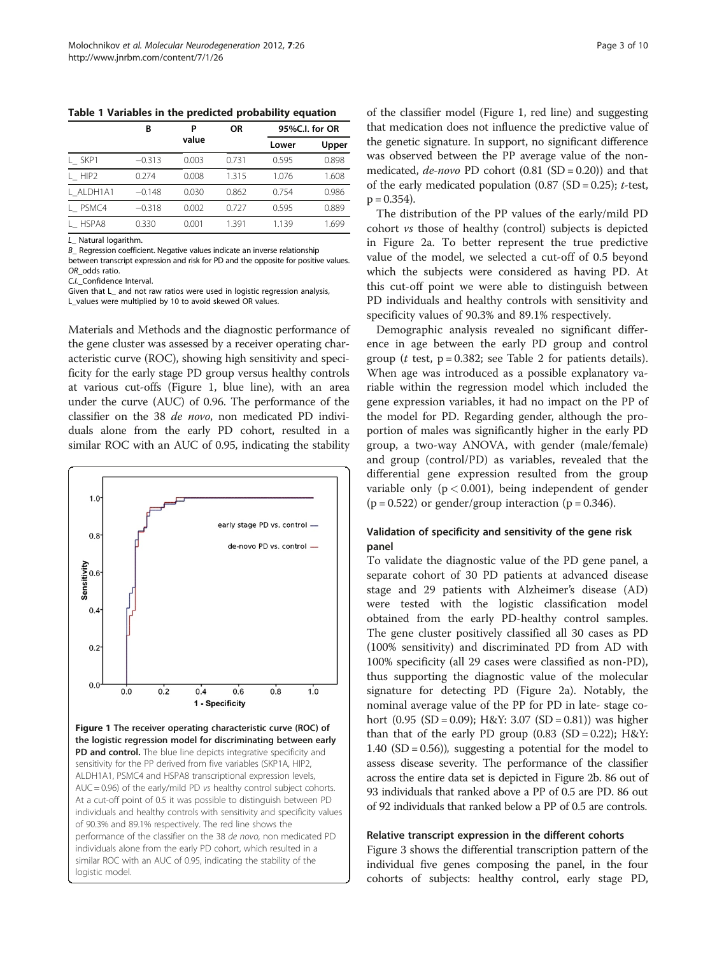<span id="page-2-0"></span>Table 1 Variables in the predicted probability equation

|           | в        | Р     | 95%C.I. for OR<br>OR |       |       |
|-----------|----------|-------|----------------------|-------|-------|
|           |          | value |                      | Lower | Upper |
| L SKP1    | $-0.313$ | 0.003 | 0.731                | 0.595 | 0.898 |
| $L$ HIP2  | 0.274    | 0.008 | 1.315                | 1.076 | 1.608 |
| L ALDH1A1 | $-0.148$ | 0.030 | 0.862                | 0.754 | 0.986 |
| L PSMC4   | $-0.318$ | 0.002 | 0.727                | 0.595 | 0.889 |
| L HSPA8   | 0.330    | 0.001 | 1.391                | 1.139 | 1.699 |

 $L$  Natural logarithm.

B\_ Regression coefficient. Negative values indicate an inverse relationship

between transcript expression and risk for PD and the opposite for positive values. OR\_odds ratio.

C.I. Confidence Interval.

Given that L\_ and not raw ratios were used in logistic regression analysis, L\_values were multiplied by 10 to avoid skewed OR values.

Materials and Methods and the diagnostic performance of the gene cluster was assessed by a receiver operating characteristic curve (ROC), showing high sensitivity and specificity for the early stage PD group versus healthy controls at various cut-offs (Figure 1, blue line), with an area under the curve (AUC) of 0.96. The performance of the classifier on the 38 de novo, non medicated PD individuals alone from the early PD cohort, resulted in a similar ROC with an AUC of 0.95, indicating the stability



Figure 1 The receiver operating characteristic curve (ROC) of the logistic regression model for discriminating between early PD and control. The blue line depicts integrative specificity and sensitivity for the PP derived from five variables (SKP1A, HIP2, ALDH1A1, PSMC4 and HSPA8 transcriptional expression levels, AUC = 0.96) of the early/mild PD vs healthy control subject cohorts. At a cut-off point of 0.5 it was possible to distinguish between PD individuals and healthy controls with sensitivity and specificity values of 90.3% and 89.1% respectively. The red line shows the performance of the classifier on the 38 de novo, non medicated PD individuals alone from the early PD cohort, which resulted in a similar ROC with an AUC of 0.95, indicating the stability of the logistic model.

of the classifier model (Figure 1, red line) and suggesting that medication does not influence the predictive value of the genetic signature. In support, no significant difference was observed between the PP average value of the nonmedicated,  $de-novo$  PD cohort  $(0.81 \text{ (SD = } 0.20))$  and that of the early medicated population  $(0.87 \text{ (SD} = 0.25); t-test,$  $p = 0.354$ ).

The distribution of the PP values of the early/mild PD cohort vs those of healthy (control) subjects is depicted in Figure [2a](#page-3-0). To better represent the true predictive value of the model, we selected a cut-off of 0.5 beyond which the subjects were considered as having PD. At this cut-off point we were able to distinguish between PD individuals and healthy controls with sensitivity and specificity values of 90.3% and 89.1% respectively.

Demographic analysis revealed no significant difference in age between the early PD group and control group ( $t$  test,  $p = 0.382$ ; see Table [2](#page-3-0) for patients details). When age was introduced as a possible explanatory variable within the regression model which included the gene expression variables, it had no impact on the PP of the model for PD. Regarding gender, although the proportion of males was significantly higher in the early PD group, a two-way ANOVA, with gender (male/female) and group (control/PD) as variables, revealed that the differential gene expression resulted from the group variable only  $(p < 0.001)$ , being independent of gender  $(p = 0.522)$  or gender/group interaction  $(p = 0.346)$ .

# Validation of specificity and sensitivity of the gene risk panel

To validate the diagnostic value of the PD gene panel, a separate cohort of 30 PD patients at advanced disease stage and 29 patients with Alzheimer's disease (AD) were tested with the logistic classification model obtained from the early PD-healthy control samples. The gene cluster positively classified all 30 cases as PD (100% sensitivity) and discriminated PD from AD with 100% specificity (all 29 cases were classified as non-PD), thus supporting the diagnostic value of the molecular signature for detecting PD (Figure [2](#page-3-0)a). Notably, the nominal average value of the PP for PD in late- stage cohort  $(0.95 \text{ (SD} = 0.09); \text{H&Y: } 3.07 \text{ (SD} = 0.81)$  was higher than that of the early PD group  $(0.83 \text{ (SD} = 0.22); \text{H&Y:})$ 1.40 (SD = 0.56)), suggesting a potential for the model to assess disease severity. The performance of the classifier across the entire data set is depicted in Figure [2b](#page-3-0). 86 out of 93 individuals that ranked above a PP of 0.5 are PD. 86 out of 92 individuals that ranked below a PP of 0.5 are controls.

#### Relative transcript expression in the different cohorts

Figure [3](#page-4-0) shows the differential transcription pattern of the individual five genes composing the panel, in the four cohorts of subjects: healthy control, early stage PD,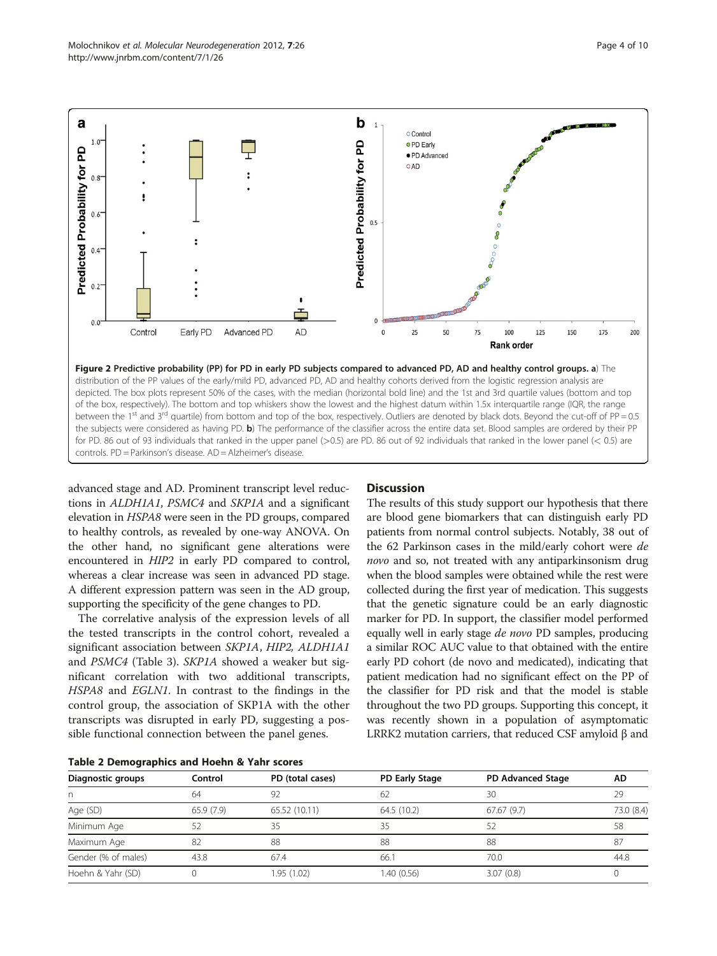<span id="page-3-0"></span>

advanced stage and AD. Prominent transcript level reductions in ALDH1A1, PSMC4 and SKP1A and a significant elevation in HSPA8 were seen in the PD groups, compared to healthy controls, as revealed by one-way ANOVA. On the other hand, no significant gene alterations were encountered in HIP2 in early PD compared to control, whereas a clear increase was seen in advanced PD stage. A different expression pattern was seen in the AD group, supporting the specificity of the gene changes to PD.

The correlative analysis of the expression levels of all the tested transcripts in the control cohort, revealed a significant association between SKP1A, HIP2, ALDH1A1 and PSMC4 (Table [3\)](#page-5-0). SKP1A showed a weaker but significant correlation with two additional transcripts, HSPA8 and EGLN1. In contrast to the findings in the control group, the association of SKP1A with the other transcripts was disrupted in early PD, suggesting a possible functional connection between the panel genes.

|  | Table 2 Demographics and Hoehn & Yahr scores |  |  |  |  |  |
|--|----------------------------------------------|--|--|--|--|--|
|--|----------------------------------------------|--|--|--|--|--|

#### **Discussion**

The results of this study support our hypothesis that there are blood gene biomarkers that can distinguish early PD patients from normal control subjects. Notably, 38 out of the 62 Parkinson cases in the mild/early cohort were de novo and so, not treated with any antiparkinsonism drug when the blood samples were obtained while the rest were collected during the first year of medication. This suggests that the genetic signature could be an early diagnostic marker for PD. In support, the classifier model performed equally well in early stage *de novo* PD samples, producing a similar ROC AUC value to that obtained with the entire early PD cohort (de novo and medicated), indicating that patient medication had no significant effect on the PP of the classifier for PD risk and that the model is stable throughout the two PD groups. Supporting this concept, it was recently shown in a population of asymptomatic LRRK2 mutation carriers, that reduced CSF amyloid β and

| Diagnostic groups   | Control   | PD (total cases) | PD Early Stage | PD Advanced Stage | AD         |
|---------------------|-----------|------------------|----------------|-------------------|------------|
| n                   | 64        | 92               | 62             | 30                | 29         |
| Age (SD)            | 65.9(7.9) | 65.52 (10.11)    | 64.5 (10.2)    | 67.67(9.7)        | 73.0 (8.4) |
| Minimum Age         | 52        | 35               | 35             | 52                | 58         |
| Maximum Age         | 82        | 88               | 88             | 88                | 87         |
| Gender (% of males) | 43.8      | 67.4             | 66.1           | 70.0              | 44.8       |
| Hoehn & Yahr (SD)   | 0         | .95(1.02)        | .40 (0.56)     | 3.07(0.8)         |            |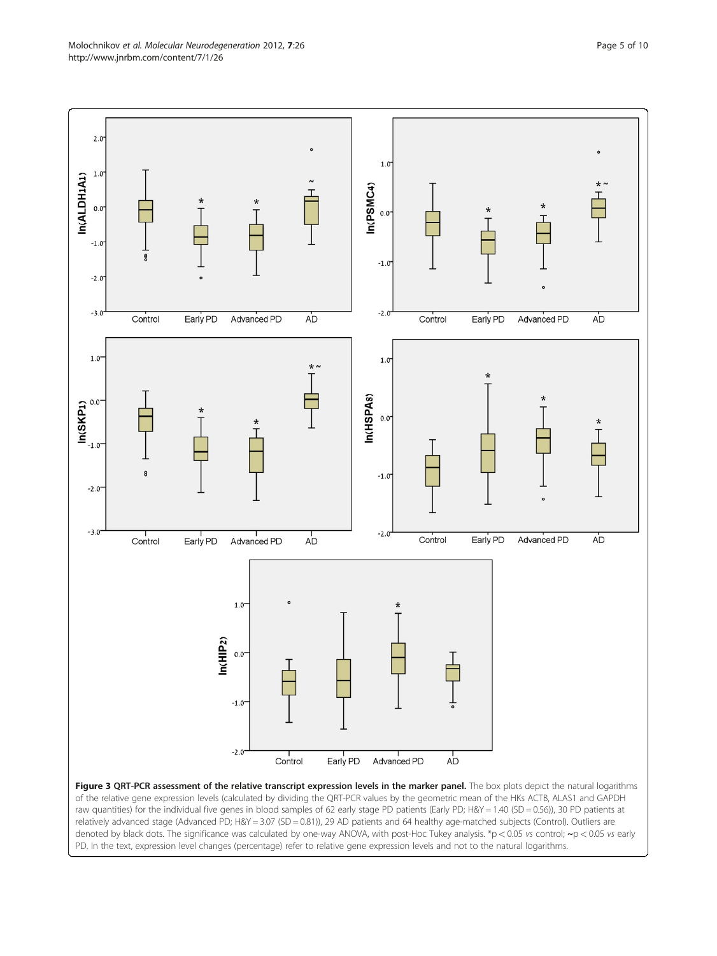<span id="page-4-0"></span>

raw quantities) for the individual five genes in blood samples of 62 early stage PD patients (Early PD; H&Y = 1.40 (SD = 0.56)), 30 PD patients at relatively advanced stage (Advanced PD; H&Y = 3.07 (SD = 0.81)), 29 AD patients and 64 healthy age-matched subjects (Control). Outliers are denoted by black dots. The significance was calculated by one-way ANOVA, with post-Hoc Tukey analysis. \*p < 0.05 vs control; ~p < 0.05 vs early PD. In the text, expression level changes (percentage) refer to relative gene expression levels and not to the natural logarithms.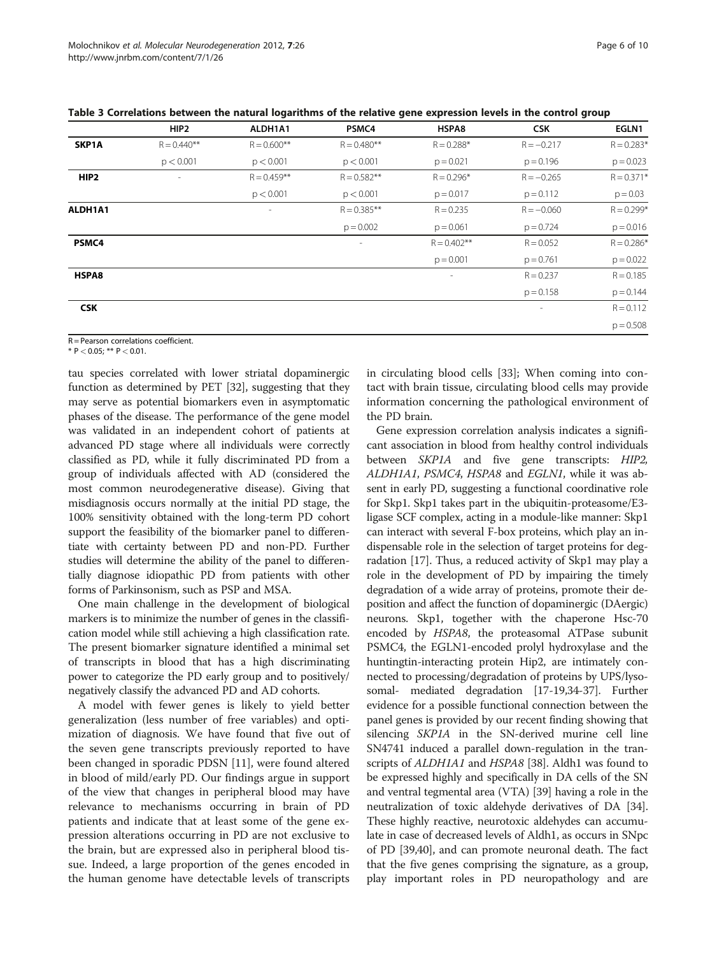|                  | HIP <sub>2</sub>         | ALDH1A1                      | PSMC4                    | HSPA8                    | <b>CSK</b>               | EGLN1        |
|------------------|--------------------------|------------------------------|--------------------------|--------------------------|--------------------------|--------------|
| SKP1A            | $R = 0.440**$            | $R = 0.600**$                | $R = 0.480**$            | $R = 0.288*$             | $R = -0.217$             | $R = 0.283*$ |
|                  | p < 0.001                | p < 0.001                    | p < 0.001                | $p = 0.021$              | $p = 0.196$              | $p = 0.023$  |
| HIP <sub>2</sub> | $\overline{\phantom{a}}$ | $R = 0.459**$                | $R = 0.582**$            | $R = 0.296*$             | $R = -0.265$             | $R = 0.371*$ |
|                  |                          | p < 0.001                    | p < 0.001                | $p = 0.017$              | $p = 0.112$              | $p = 0.03$   |
| ALDH1A1          |                          | $\qquad \qquad \blacksquare$ | $R = 0.385***$           | $R = 0.235$              | $R = -0.060$             | $R = 0.299*$ |
|                  |                          |                              | $p = 0.002$              | $p = 0.061$              | $p = 0.724$              | $p = 0.016$  |
| PSMC4            |                          |                              | $\overline{\phantom{a}}$ | $R = 0.402$ **           | $R = 0.052$              | $R = 0.286*$ |
|                  |                          |                              |                          | $p = 0.001$              | $p = 0.761$              | $p = 0.022$  |
| HSPA8            |                          |                              |                          | $\overline{\phantom{a}}$ | $R = 0.237$              | $R = 0.185$  |
|                  |                          |                              |                          |                          | $p = 0.158$              | $p = 0.144$  |
| <b>CSK</b>       |                          |                              |                          |                          | $\overline{\phantom{a}}$ | $R = 0.112$  |
|                  |                          |                              |                          |                          |                          | $p = 0.508$  |

<span id="page-5-0"></span>Table 3 Correlations between the natural logarithms of the relative gene expression levels in the control group

R = Pearson correlations coefficient.

 $*$  P < 0.05; \*\* P < 0.01.

tau species correlated with lower striatal dopaminergic function as determined by PET [\[32\]](#page-9-0), suggesting that they may serve as potential biomarkers even in asymptomatic phases of the disease. The performance of the gene model was validated in an independent cohort of patients at advanced PD stage where all individuals were correctly classified as PD, while it fully discriminated PD from a group of individuals affected with AD (considered the most common neurodegenerative disease). Giving that misdiagnosis occurs normally at the initial PD stage, the 100% sensitivity obtained with the long-term PD cohort support the feasibility of the biomarker panel to differentiate with certainty between PD and non-PD. Further studies will determine the ability of the panel to differentially diagnose idiopathic PD from patients with other forms of Parkinsonism, such as PSP and MSA.

One main challenge in the development of biological markers is to minimize the number of genes in the classification model while still achieving a high classification rate. The present biomarker signature identified a minimal set of transcripts in blood that has a high discriminating power to categorize the PD early group and to positively/ negatively classify the advanced PD and AD cohorts.

A model with fewer genes is likely to yield better generalization (less number of free variables) and optimization of diagnosis. We have found that five out of the seven gene transcripts previously reported to have been changed in sporadic PDSN [\[11](#page-9-0)], were found altered in blood of mild/early PD. Our findings argue in support of the view that changes in peripheral blood may have relevance to mechanisms occurring in brain of PD patients and indicate that at least some of the gene expression alterations occurring in PD are not exclusive to the brain, but are expressed also in peripheral blood tissue. Indeed, a large proportion of the genes encoded in the human genome have detectable levels of transcripts in circulating blood cells [[33](#page-9-0)]; When coming into contact with brain tissue, circulating blood cells may provide information concerning the pathological environment of the PD brain.

Gene expression correlation analysis indicates a significant association in blood from healthy control individuals between SKP1A and five gene transcripts: HIP2, ALDH1A1, PSMC4, HSPA8 and EGLN1, while it was absent in early PD, suggesting a functional coordinative role for Skp1. Skp1 takes part in the ubiquitin-proteasome/E3 ligase SCF complex, acting in a module-like manner: Skp1 can interact with several F-box proteins, which play an indispensable role in the selection of target proteins for degradation [\[17\]](#page-9-0). Thus, a reduced activity of Skp1 may play a role in the development of PD by impairing the timely degradation of a wide array of proteins, promote their deposition and affect the function of dopaminergic (DAergic) neurons. Skp1, together with the chaperone Hsc-70 encoded by HSPA8, the proteasomal ATPase subunit PSMC4, the EGLN1-encoded prolyl hydroxylase and the huntingtin-interacting protein Hip2, are intimately connected to processing/degradation of proteins by UPS/lysosomal- mediated degradation [[17](#page-9-0)-[19,34-37](#page-9-0)]. Further evidence for a possible functional connection between the panel genes is provided by our recent finding showing that silencing *SKP1A* in the SN-derived murine cell line SN4741 induced a parallel down-regulation in the transcripts of *ALDH1A1* and *HSPA8* [\[38\]](#page-9-0). Aldh1 was found to be expressed highly and specifically in DA cells of the SN and ventral tegmental area (VTA) [[39](#page-9-0)] having a role in the neutralization of toxic aldehyde derivatives of DA [[34](#page-9-0)]. These highly reactive, neurotoxic aldehydes can accumulate in case of decreased levels of Aldh1, as occurs in SNpc of PD [\[39,40](#page-9-0)], and can promote neuronal death. The fact that the five genes comprising the signature, as a group, play important roles in PD neuropathology and are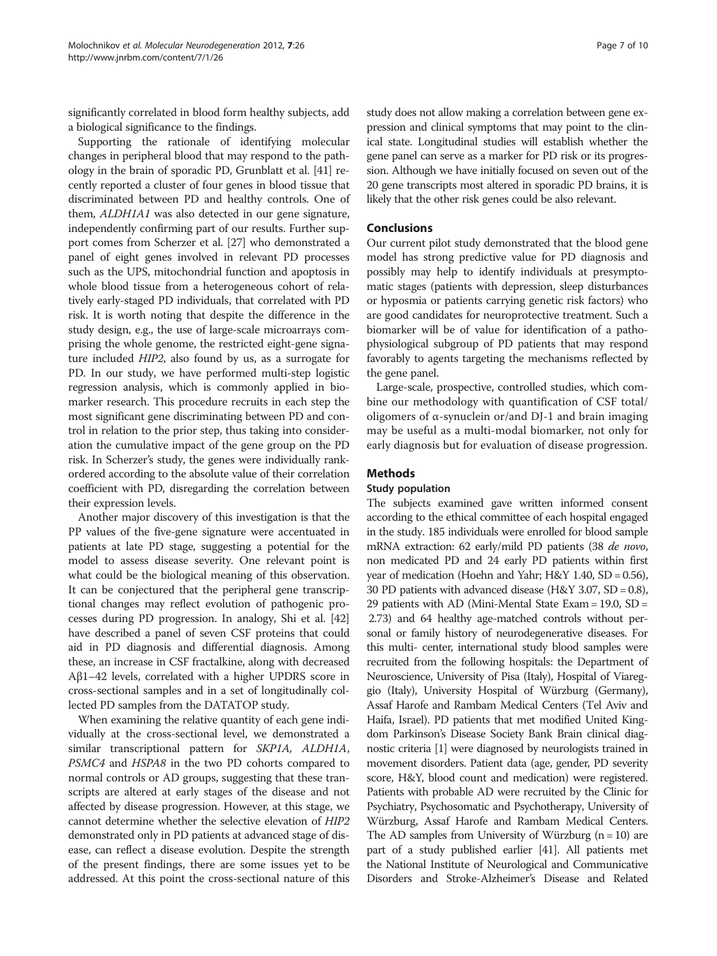significantly correlated in blood form healthy subjects, add a biological significance to the findings.

Supporting the rationale of identifying molecular changes in peripheral blood that may respond to the pathology in the brain of sporadic PD, Grunblatt et al. [\[41\]](#page-9-0) recently reported a cluster of four genes in blood tissue that discriminated between PD and healthy controls. One of them, ALDH1A1 was also detected in our gene signature, independently confirming part of our results. Further support comes from Scherzer et al. [[27](#page-9-0)] who demonstrated a panel of eight genes involved in relevant PD processes such as the UPS, mitochondrial function and apoptosis in whole blood tissue from a heterogeneous cohort of relatively early-staged PD individuals, that correlated with PD risk. It is worth noting that despite the difference in the study design, e.g., the use of large-scale microarrays comprising the whole genome, the restricted eight-gene signature included HIP2, also found by us, as a surrogate for PD. In our study, we have performed multi-step logistic regression analysis, which is commonly applied in biomarker research. This procedure recruits in each step the most significant gene discriminating between PD and control in relation to the prior step, thus taking into consideration the cumulative impact of the gene group on the PD risk. In Scherzer's study, the genes were individually rankordered according to the absolute value of their correlation coefficient with PD, disregarding the correlation between their expression levels.

Another major discovery of this investigation is that the PP values of the five-gene signature were accentuated in patients at late PD stage, suggesting a potential for the model to assess disease severity. One relevant point is what could be the biological meaning of this observation. It can be conjectured that the peripheral gene transcriptional changes may reflect evolution of pathogenic processes during PD progression. In analogy, Shi et al. [[42](#page-9-0)] have described a panel of seven CSF proteins that could aid in PD diagnosis and differential diagnosis. Among these, an increase in CSF fractalkine, along with decreased Aβ1–42 levels, correlated with a higher UPDRS score in cross-sectional samples and in a set of longitudinally collected PD samples from the DATATOP study.

When examining the relative quantity of each gene individually at the cross-sectional level, we demonstrated a similar transcriptional pattern for SKP1A, ALDH1A, PSMC4 and HSPA8 in the two PD cohorts compared to normal controls or AD groups, suggesting that these transcripts are altered at early stages of the disease and not affected by disease progression. However, at this stage, we cannot determine whether the selective elevation of HIP2 demonstrated only in PD patients at advanced stage of disease, can reflect a disease evolution. Despite the strength of the present findings, there are some issues yet to be addressed. At this point the cross-sectional nature of this

study does not allow making a correlation between gene expression and clinical symptoms that may point to the clinical state. Longitudinal studies will establish whether the gene panel can serve as a marker for PD risk or its progression. Although we have initially focused on seven out of the 20 gene transcripts most altered in sporadic PD brains, it is likely that the other risk genes could be also relevant.

#### Conclusions

Our current pilot study demonstrated that the blood gene model has strong predictive value for PD diagnosis and possibly may help to identify individuals at presymptomatic stages (patients with depression, sleep disturbances or hyposmia or patients carrying genetic risk factors) who are good candidates for neuroprotective treatment. Such a biomarker will be of value for identification of a pathophysiological subgroup of PD patients that may respond favorably to agents targeting the mechanisms reflected by the gene panel.

Large-scale, prospective, controlled studies, which combine our methodology with quantification of CSF total/ oligomers of  $\alpha$ -synuclein or/and DJ-1 and brain imaging may be useful as a multi-modal biomarker, not only for early diagnosis but for evaluation of disease progression.

# Methods

# Study population

The subjects examined gave written informed consent according to the ethical committee of each hospital engaged in the study. 185 individuals were enrolled for blood sample mRNA extraction: 62 early/mild PD patients (38 de novo, non medicated PD and 24 early PD patients within first year of medication (Hoehn and Yahr; H&Y 1.40, SD = 0.56), 30 PD patients with advanced disease (H&Y 3.07, SD = 0.8), 29 patients with AD (Mini-Mental State Exam = 19.0, SD = 2.73) and 64 healthy age-matched controls without personal or family history of neurodegenerative diseases. For this multi- center, international study blood samples were recruited from the following hospitals: the Department of Neuroscience, University of Pisa (Italy), Hospital of Viareggio (Italy), University Hospital of Würzburg (Germany), Assaf Harofe and Rambam Medical Centers (Tel Aviv and Haifa, Israel). PD patients that met modified United Kingdom Parkinson's Disease Society Bank Brain clinical diagnostic criteria [\[1\]](#page-8-0) were diagnosed by neurologists trained in movement disorders. Patient data (age, gender, PD severity score, H&Y, blood count and medication) were registered. Patients with probable AD were recruited by the Clinic for Psychiatry, Psychosomatic and Psychotherapy, University of Würzburg, Assaf Harofe and Rambam Medical Centers. The AD samples from University of Würzburg  $(n = 10)$  are part of a study published earlier [[41\]](#page-9-0). All patients met the National Institute of Neurological and Communicative Disorders and Stroke-Alzheimer's Disease and Related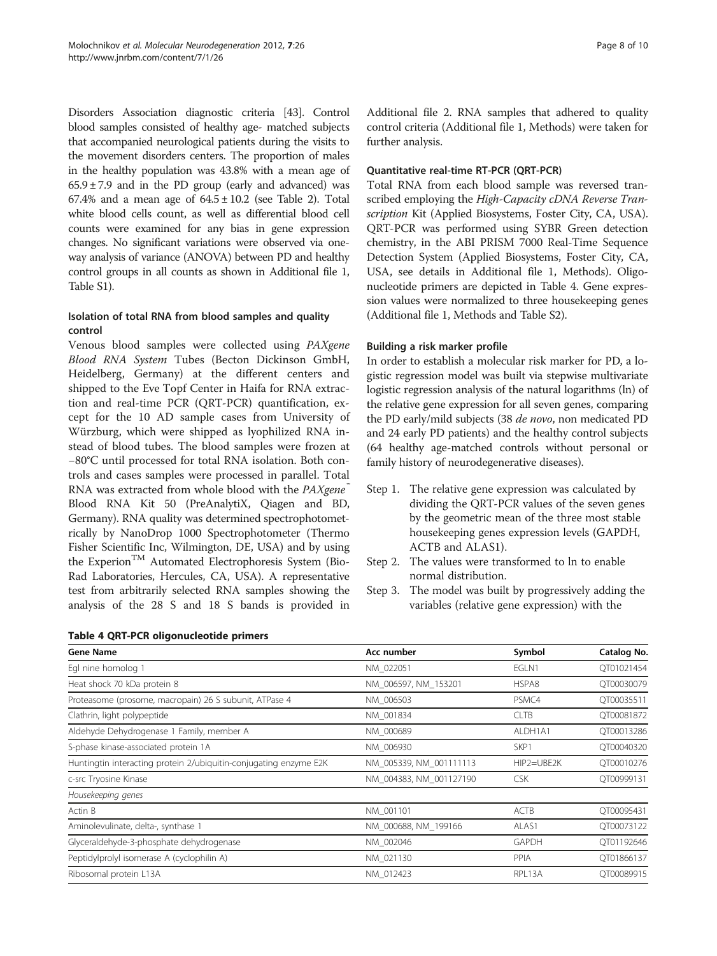Disorders Association diagnostic criteria [\[43\]](#page-9-0). Control blood samples consisted of healthy age- matched subjects that accompanied neurological patients during the visits to the movement disorders centers. The proportion of males in the healthy population was 43.8% with a mean age of  $65.9 \pm 7.9$  and in the PD group (early and advanced) was 67.4% and a mean age of  $64.5 \pm 10.2$  (see Table [2](#page-3-0)). Total white blood cells count, as well as differential blood cell counts were examined for any bias in gene expression changes. No significant variations were observed via oneway analysis of variance (ANOVA) between PD and healthy control groups in all counts as shown in Additional file [1](#page-8-0), Table S1).

# Isolation of total RNA from blood samples and quality control

Venous blood samples were collected using PAXgene Blood RNA System Tubes (Becton Dickinson GmbH, Heidelberg, Germany) at the different centers and shipped to the Eve Topf Center in Haifa for RNA extraction and real-time PCR (QRT-PCR) quantification, except for the 10 AD sample cases from University of Würzburg, which were shipped as lyophilized RNA instead of blood tubes. The blood samples were frozen at −80°C until processed for total RNA isolation. Both controls and cases samples were processed in parallel. Total RNA was extracted from whole blood with the PAXgene Blood RNA Kit 50 (PreAnalytiX, Qiagen and BD, Germany). RNA quality was determined spectrophotometrically by NanoDrop 1000 Spectrophotometer (Thermo Fisher Scientific Inc, Wilmington, DE, USA) and by using the Experion<sup>TM</sup> Automated Electrophoresis System (Bio-Rad Laboratories, Hercules, CA, USA). A representative test from arbitrarily selected RNA samples showing the analysis of the 28 S and 18 S bands is provided in



| <b>Gene Name</b>                                                  | Acc number              | Symbol           | Catalog No. |
|-------------------------------------------------------------------|-------------------------|------------------|-------------|
| Egl nine homolog 1                                                | NM 022051               | EGLN1            | QT01021454  |
| Heat shock 70 kDa protein 8                                       | NM 006597, NM 153201    | HSPA8            | QT00030079  |
| Proteasome (prosome, macropain) 26 S subunit, ATPase 4            | NM 006503               | PSMC4            | QT00035511  |
| Clathrin, light polypeptide                                       | NM 001834               | <b>CLTB</b>      | QT00081872  |
| Aldehyde Dehydrogenase 1 Family, member A                         | NM 000689               | ALDH1A1          | QT00013286  |
| S-phase kinase-associated protein 1A                              | NM 006930               | SKP <sub>1</sub> | QT00040320  |
| Huntingtin interacting protein 2/ubiquitin-conjugating enzyme E2K | NM 005339, NM 001111113 | HIP2=UBE2K       | QT00010276  |
| c-src Tryosine Kinase                                             | NM 004383, NM 001127190 | <b>CSK</b>       | OT00999131  |
| Housekeeping genes                                                |                         |                  |             |
| Actin B                                                           | NM 001101               | ACTB             | QT00095431  |
| Aminolevulinate, delta-, synthase 1                               | NM_000688, NM_199166    | ALAS1            | OT00073122  |
| Glyceraldehyde-3-phosphate dehydrogenase                          | NM 002046               | <b>GAPDH</b>     | QT01192646  |

Peptidylprolyl isomerase A (cyclophilin A)  $NM_0$ 21130 PPIA QT01866137 Ribosomal protein L13A and CT00089915 CHO CHO CHOOS CHOOS CHOOS CHOOS CHOOS CHOOS CHOOS CHOOS CHOOS CHOOS CHOOS CHOOS CHOOS CHOOS CHOOS CHOOS CHOOS CHOOS CHOOS CHOOS CHOOS CHOOS CHOOS CHOOS CHOOS CHOOS CHOOS CHOOS CHOOS CH

Additional file [2](#page-8-0). RNA samples that adhered to quality control criteria (Additional file [1,](#page-8-0) Methods) were taken for further analysis.

#### Quantitative real-time RT-PCR (QRT-PCR)

Total RNA from each blood sample was reversed transcribed employing the High-Capacity cDNA Reverse Transcription Kit (Applied Biosystems, Foster City, CA, USA). QRT-PCR was performed using SYBR Green detection chemistry, in the ABI PRISM 7000 Real-Time Sequence Detection System (Applied Biosystems, Foster City, CA, USA, see details in Additional file [1](#page-8-0), Methods). Oligonucleotide primers are depicted in Table 4. Gene expression values were normalized to three housekeeping genes (Additional file [1](#page-8-0), Methods and Table S2).

#### Building a risk marker profile

In order to establish a molecular risk marker for PD, a logistic regression model was built via stepwise multivariate logistic regression analysis of the natural logarithms (ln) of the relative gene expression for all seven genes, comparing the PD early/mild subjects (38 de novo, non medicated PD and 24 early PD patients) and the healthy control subjects (64 healthy age-matched controls without personal or family history of neurodegenerative diseases).

- Step 1. The relative gene expression was calculated by dividing the QRT-PCR values of the seven genes by the geometric mean of the three most stable housekeeping genes expression levels (GAPDH, ACTB and ALAS1).
- Step 2. The values were transformed to ln to enable normal distribution.
- Step 3. The model was built by progressively adding the variables (relative gene expression) with the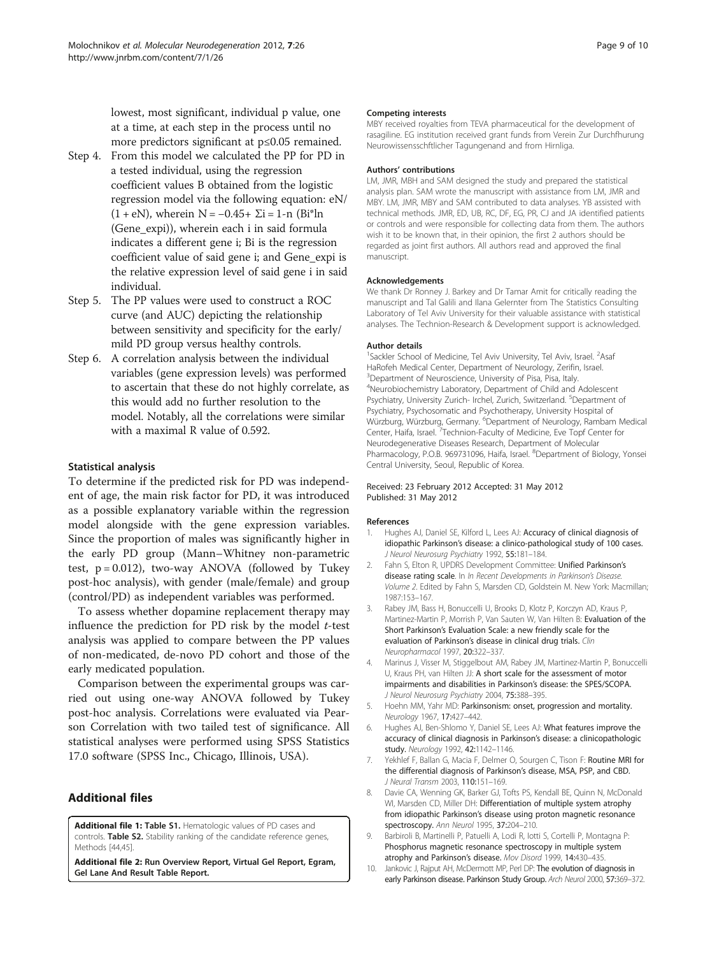<span id="page-8-0"></span>lowest, most significant, individual p value, one at a time, at each step in the process until no more predictors significant at p≤0.05 remained.

- Step 4. From this model we calculated the PP for PD in a tested individual, using the regression coefficient values B obtained from the logistic regression model via the following equation: eN/ (1 + eN), wherein N =  $-0.45+$  ∑i = 1-n (Bi\*ln (Gene\_expi)), wherein each i in said formula indicates a different gene i; Bi is the regression coefficient value of said gene i; and Gene\_expi is the relative expression level of said gene i in said individual.
- Step 5. The PP values were used to construct a ROC curve (and AUC) depicting the relationship between sensitivity and specificity for the early/ mild PD group versus healthy controls.
- Step 6. A correlation analysis between the individual variables (gene expression levels) was performed to ascertain that these do not highly correlate, as this would add no further resolution to the model. Notably, all the correlations were similar with a maximal R value of 0.592.

# Statistical analysis

To determine if the predicted risk for PD was independent of age, the main risk factor for PD, it was introduced as a possible explanatory variable within the regression model alongside with the gene expression variables. Since the proportion of males was significantly higher in the early PD group (Mann–Whitney non-parametric test,  $p = 0.012$ ), two-way ANOVA (followed by Tukey post-hoc analysis), with gender (male/female) and group (control/PD) as independent variables was performed.

To assess whether dopamine replacement therapy may influence the prediction for PD risk by the model  $t$ -test analysis was applied to compare between the PP values of non-medicated, de-novo PD cohort and those of the early medicated population.

Comparison between the experimental groups was carried out using one-way ANOVA followed by Tukey post-hoc analysis. Correlations were evaluated via Pearson Correlation with two tailed test of significance. All statistical analyses were performed using SPSS Statistics 17.0 software (SPSS Inc., Chicago, Illinois, USA).

# Additional files

[Additional file 1:](http://www.biomedcentral.com/content/supplementary/1750-1326-7-26-S1.doc) Table S1. Hematologic values of PD cases and controls. Table S2. Stability ranking of the candidate reference genes, Methods [44,45].

[Additional file 2:](http://www.biomedcentral.com/content/supplementary/1750-1326-7-26-S2.pdf) Run Overview Report, Virtual Gel Report, Egram, Gel Lane And Result Table Report.

#### Competing interests

MBY received royalties from TEVA pharmaceutical for the development of rasagiline. EG institution received grant funds from Verein Zur Durchfhurung Neurowissensschftlicher Tagungenand and from Hirnliga.

#### Authors' contributions

LM, JMR, MBH and SAM designed the study and prepared the statistical analysis plan. SAM wrote the manuscript with assistance from LM, JMR and MBY. LM, JMR, MBY and SAM contributed to data analyses. YB assisted with technical methods. JMR, ED, UB, RC, DF, EG, PR, CJ and JA identified patients or controls and were responsible for collecting data from them. The authors wish it to be known that, in their opinion, the first 2 authors should be regarded as joint first authors. All authors read and approved the final manuscript.

#### Acknowledgements

We thank Dr Ronney J. Barkey and Dr Tamar Amit for critically reading the manuscript and Tal Galili and Ilana Gelernter from The Statistics Consulting Laboratory of Tel Aviv University for their valuable assistance with statistical analyses. The Technion-Research & Development support is acknowledged.

#### Author details

<sup>1</sup>Sackler School of Medicine, Tel Aviv University, Tel Aviv, Israel. <sup>2</sup>Asaf HaRofeh Medical Center, Department of Neurology, Zerifin, Israel. <sup>3</sup> Department of Neuroscience, University of Pisa, Pisa, Italy. 4 Neurobiochemistry Laboratory, Department of Child and Adolescent Psychiatry, University Zurich- Irchel, Zurich, Switzerland. <sup>5</sup>Department of Psychiatry, Psychosomatic and Psychotherapy, University Hospital of Würzburg, Würzburg, Germany. <sup>6</sup>Department of Neurology, Rambam Medical Center, Haifa, Israel.<sup>7</sup> Technion-Faculty of Medicine, Eve Topf Center for Neurodegenerative Diseases Research, Department of Molecular Pharmacology, P.O.B. 969731096, Haifa, Israel. <sup>8</sup>Department of Biology, Yonsei Central University, Seoul, Republic of Korea.

#### Received: 23 February 2012 Accepted: 31 May 2012 Published: 31 May 2012

#### References

- Hughes AJ, Daniel SE, Kilford L, Lees AJ: Accuracy of clinical diagnosis of idiopathic Parkinson's disease: a clinico-pathological study of 100 cases. J Neurol Neurosurg Psychiatry 1992, 55:181–184.
- 2. Fahn S, Elton R, UPDRS Development Committee: Unified Parkinson's disease rating scale. In In Recent Developments in Parkinson's Disease. Volume 2. Edited by Fahn S, Marsden CD, Goldstein M. New York: Macmillan; 1987:153–167.
- 3. Rabey JM, Bass H, Bonuccelli U, Brooks D, Klotz P, Korczyn AD, Kraus P, Martinez-Martin P, Morrish P, Van Sauten W, Van Hilten B: Evaluation of the Short Parkinson's Evaluation Scale: a new friendly scale for the evaluation of Parkinson's disease in clinical drug trials. Clin Neuropharmacol 1997, 20:322–337.
- 4. Marinus J, Visser M, Stiggelbout AM, Rabey JM, Martinez-Martin P, Bonuccelli U, Kraus PH, van Hilten JJ: A short scale for the assessment of motor impairments and disabilities in Parkinson's disease: the SPES/SCOPA. J Neurol Neurosurg Psychiatry 2004, 75:388–395.
- 5. Hoehn MM, Yahr MD: Parkinsonism: onset, progression and mortality. Neurology 1967, 17:427–442.
- 6. Hughes AJ, Ben-Shlomo Y, Daniel SE, Lees AJ: What features improve the accuracy of clinical diagnosis in Parkinson's disease: a clinicopathologic study. Neurology 1992, 42:1142-1146.
- 7. Yekhlef F, Ballan G, Macia F, Delmer O, Sourgen C, Tison F: Routine MRI for the differential diagnosis of Parkinson's disease, MSA, PSP, and CBD. J Neural Transm 2003, 110:151–169.
- 8. Davie CA, Wenning GK, Barker GJ, Tofts PS, Kendall BE, Quinn N, McDonald WI, Marsden CD, Miller DH: Differentiation of multiple system atrophy from idiopathic Parkinson's disease using proton magnetic resonance spectroscopy. Ann Neurol 1995, 37:204-210.
- 9. Barbiroli B, Martinelli P, Patuelli A, Lodi R, Iotti S, Cortelli P, Montagna P: Phosphorus magnetic resonance spectroscopy in multiple system atrophy and Parkinson's disease. Mov Disord 1999, 14:430–435.
- 10. Jankovic J, Rajput AH, McDermott MP, Perl DP: The evolution of diagnosis in early Parkinson disease. Parkinson Study Group. Arch Neurol 2000, 57:369–372.